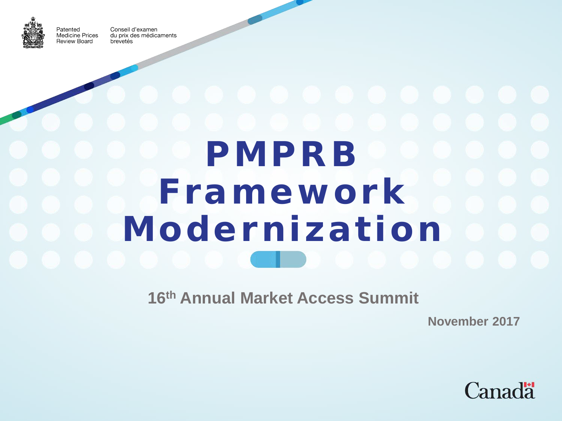

Patented

Conseil d'examen **Medicine Prices** du prix des médicaments Review Board brevetés

PMPRB Framework Modernization

**16th Annual Market Access Summit**

**November 2017**

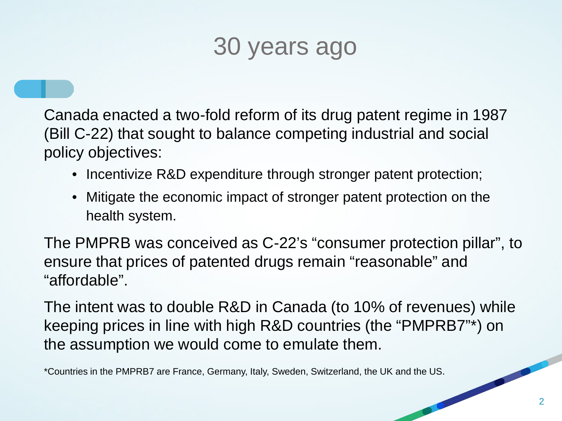## 30 years ago

Canada enacted a two-fold reform of its drug patent regime in 1987 (Bill C-22) that sought to balance competing industrial and social policy objectives:

- Incentivize R&D expenditure through stronger patent protection;
- Mitigate the economic impact of stronger patent protection on the health system.

The PMPRB was conceived as C-22's "consumer protection pillar", to ensure that prices of patented drugs remain "reasonable" and "affordable".

The intent was to double R&D in Canada (to 10% of revenues) while keeping prices in line with high R&D countries (the "PMPRB7"\*) on the assumption we would come to emulate them.

\*Countries in the PMPRB7 are France, Germany, Italy, Sweden, Switzerland, the UK and the US.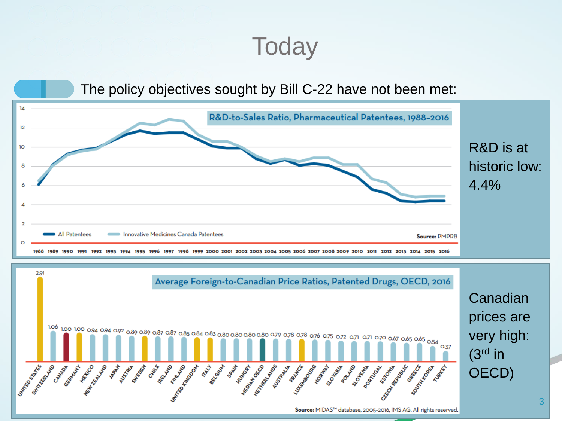## **Today**

#### The policy objectives sought by Bill C-22 have not been met:



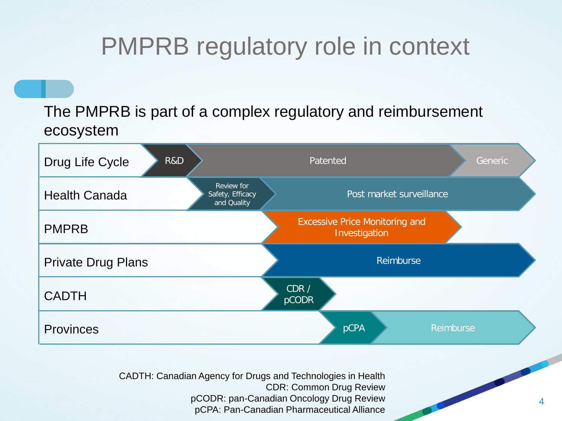## PMPRB regulatory role in context

The PMPRB is part of a complex regulatory and reimbursement ecosystem



CADTH: Canadian Agency for Drugs and Technologies in Health CDR: Common Drug Review pCODR: pan-Canadian Oncology Drug Review pCPA: Pan-Canadian Pharmaceutical Alliance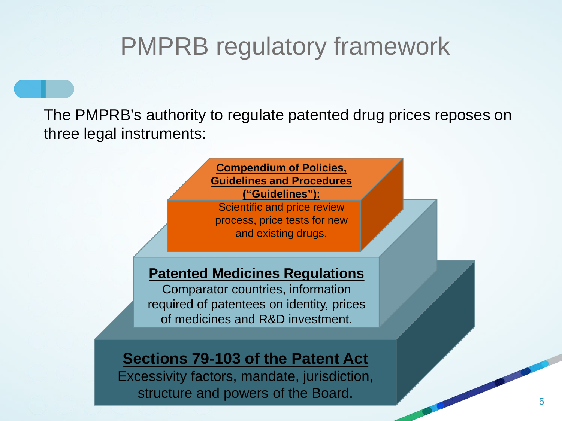#### PMPRB regulatory framework

The PMPRB's authority to regulate patented drug prices reposes on three legal instruments:

> **Compendium of Policies, Guidelines and Procedures ("Guidelines"):**  Scientific and price review process, price tests for new and existing drugs.

#### **Patented Medicines Regulations**

Comparator countries, information required of patentees on identity, prices of medicines and R&D investment.

#### **Sections 79-103 of the Patent Act**

Excessivity factors, mandate, jurisdiction, structure and powers of the Board.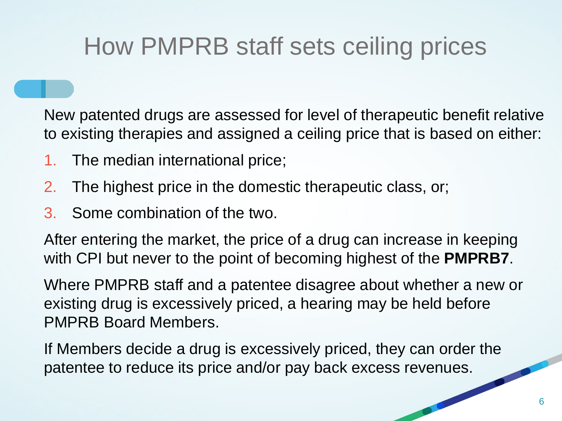## How PMPRB staff sets ceiling prices

New patented drugs are assessed for level of therapeutic benefit relative to existing therapies and assigned a ceiling price that is based on either:

- 1. The median international price;
- 2. The highest price in the domestic therapeutic class, or;
- 3. Some combination of the two.

After entering the market, the price of a drug can increase in keeping with CPI but never to the point of becoming highest of the **PMPRB7**.

Where PMPRB staff and a patentee disagree about whether a new or existing drug is excessively priced, a hearing may be held before PMPRB Board Members.

If Members decide a drug is excessively priced, they can order the patentee to reduce its price and/or pay back excess revenues.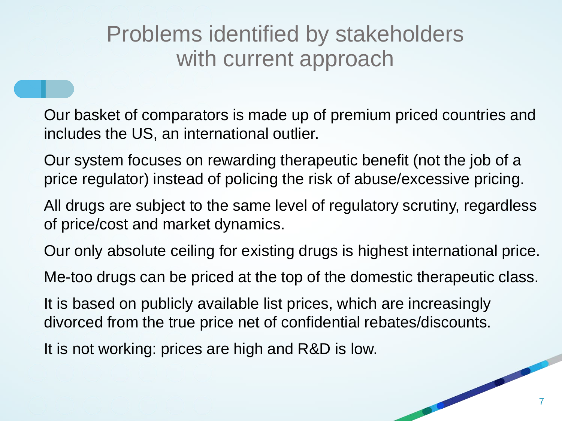#### Problems identified by stakeholders with current approach

Our basket of comparators is made up of premium priced countries and includes the US, an international outlier.

Our system focuses on rewarding therapeutic benefit (not the job of a price regulator) instead of policing the risk of abuse/excessive pricing.

All drugs are subject to the same level of regulatory scrutiny, regardless of price/cost and market dynamics.

Our only absolute ceiling for existing drugs is highest international price.

Me-too drugs can be priced at the top of the domestic therapeutic class.

It is based on publicly available list prices, which are increasingly divorced from the true price net of confidential rebates/discounts.

It is not working: prices are high and R&D is low.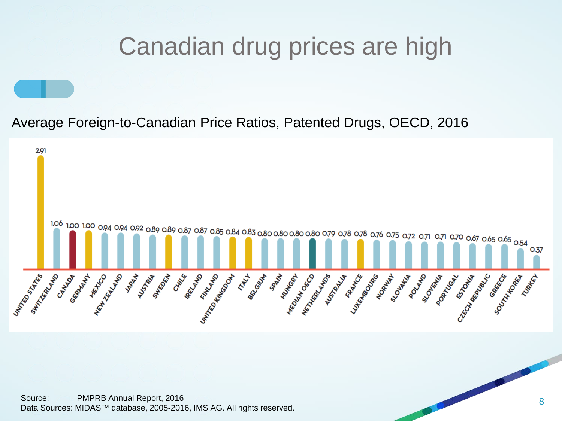## Canadian drug prices are high

Average Foreign-to-Canadian Price Ratios, Patented Drugs, OECD, 2016

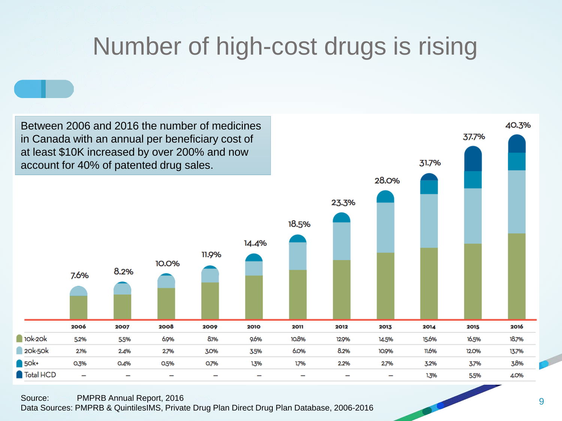## Number of high-cost drugs is rising

Between 2006 and 2016 the number of medicines in Canada with an annual per beneficiary cost of at least \$10K increased by over 200% and now account for 40% of patented drug sales.



40.3%

37.7%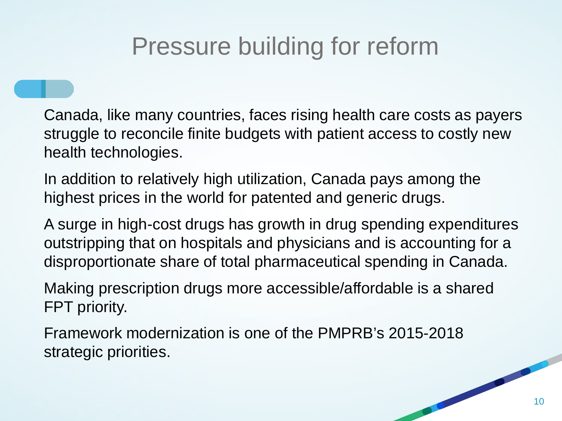## Pressure building for reform

Canada, like many countries, faces rising health care costs as payers struggle to reconcile finite budgets with patient access to costly new health technologies.

In addition to relatively high utilization, Canada pays among the highest prices in the world for patented and generic drugs.

A surge in high-cost drugs has growth in drug spending expenditures outstripping that on hospitals and physicians and is accounting for a disproportionate share of total pharmaceutical spending in Canada.

Making prescription drugs more accessible/affordable is a shared FPT priority.

Framework modernization is one of the PMPRB's 2015-2018 strategic priorities.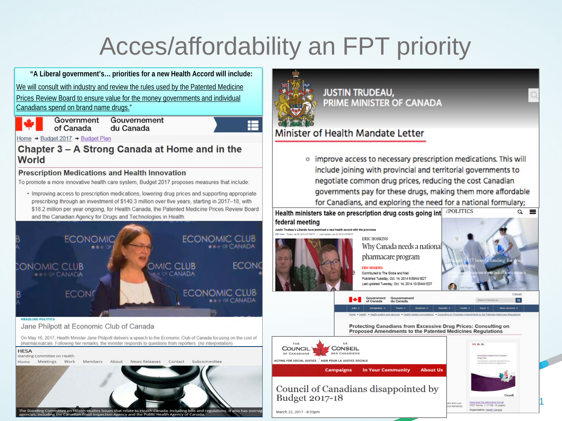# Acces/affordability an FPT priority

E

and regulations. It also has oversig

**"A Liberal government's… priorities for a new Health Accord will include:** We will consult with industry and review the rules used by the Patented Medicine Prices Review Board to ensure value for the money governments and individual Canadians spend on brand name drugs."



Government Gouvernement of Canada du Canada

Home → Budget 2017 → Budget Plan

Chapter 3 - A Strong Canada at Home and in the World

#### **Prescription Medications and Health Innovation**

To promote a more innovative health care system, Budget 2017 proposes measures that include:

• Improving access to prescription medications, lowering drug prices and supporting appropriate prescribing through an investment of \$140.3 million over five years, starting in 2017-18, with \$18.2 million per year ongoing, for Health Canada, the Patented Medicine Prices Review Board and the Canadian Agency for Drugs and Technologies in Health.



imittee on Health studies issues that relate to Health Canada, including bills and<br>g the Canadian Food Inspection Agency and the Public Health Agency of Canada



o improve access to necessary prescription medications. This will include joining with provincial and territorial governments to negotiate common drug prices, reducing the cost Canadian governments pay for these drugs, making them more affordable for Canadians, and exploring the need for a national formulary;

**/POLITICS**  $\alpha =$ Health ministers take on prescription drug costs going int federal meeting Justin Trudeau's Liberals have promised a new health accord with the provinces



March 22, 2017 - 8:33pm

**ERIC HOSKINS** Why Canada needs a national pharmacare program

#### **FRIC HOSKINS** Contributed to The Globe and Mail Published Tuesday, Oct. 14, 2014 9:59AM EDT Last updated Tuesday, Oct. 14, 2014 10:00AM EDT

du Canada



Protecting Canadians from Excessive Drug Prices: Consulting on Proposed Amendments to the Patented Medicines Regulations



Government<br>of Canada

#### Council of Canadians disappointed by **Budget 2017-18**



11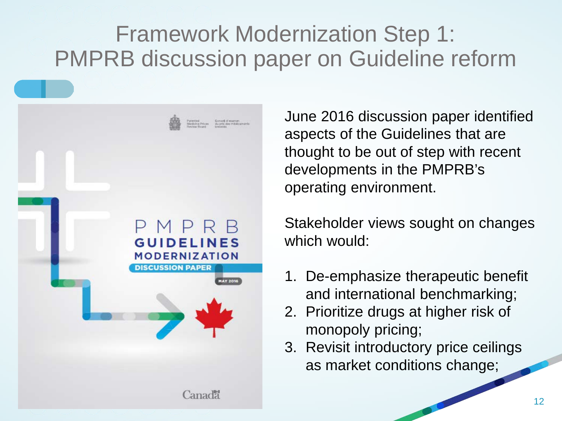#### Framework Modernization Step 1: PMPRB discussion paper on Guideline reform



June 2016 discussion paper identified aspects of the Guidelines that are thought to be out of step with recent developments in the PMPRB's operating environment.

Stakeholder views sought on changes which would:

- 1. De-emphasize therapeutic benefit and international benchmarking;
- 2. Prioritize drugs at higher risk of monopoly pricing;
- 3. Revisit introductory price ceilings as market conditions change;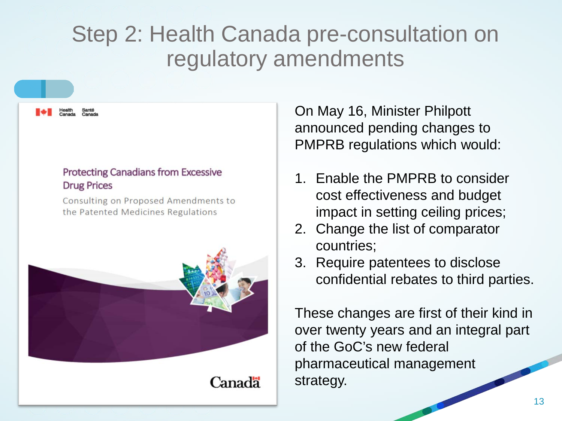#### Step 2: Health Canada pre-consultation on regulatory amendments

#### **Protecting Canadians from Excessive Drug Prices**

Consulting on Proposed Amendments to the Patented Medicines Regulations



Canada

On May 16, Minister Philpott announced pending changes to PMPRB regulations which would:

- 1. Enable the PMPRB to consider cost effectiveness and budget impact in setting ceiling prices;
- 2. Change the list of comparator countries;
- 3. Require patentees to disclose confidential rebates to third parties.

These changes are first of their kind in over twenty years and an integral part of the GoC's new federal pharmaceutical management strategy.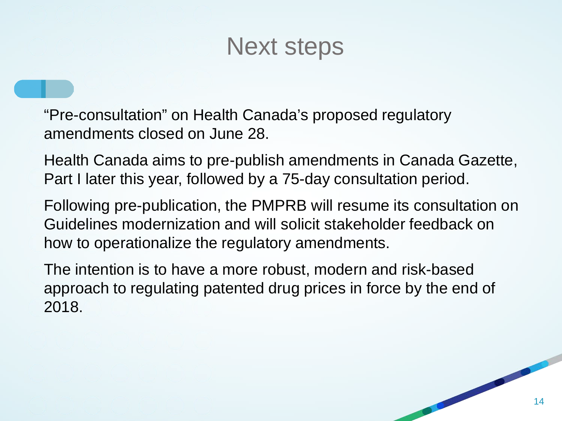#### Next steps

"Pre-consultation" on Health Canada's proposed regulatory amendments closed on June 28.

Health Canada aims to pre-publish amendments in Canada Gazette, Part I later this year, followed by a 75-day consultation period.

Following pre-publication, the PMPRB will resume its consultation on Guidelines modernization and will solicit stakeholder feedback on how to operationalize the regulatory amendments.

The intention is to have a more robust, modern and risk-based approach to regulating patented drug prices in force by the end of 2018.